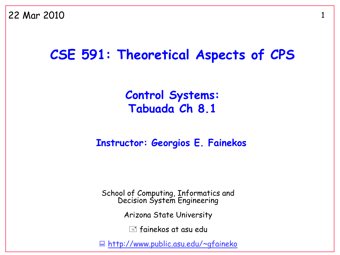#### **CSE 591: Theoretical Aspects of CPS**

#### **Control Systems: Tabuada Ch 8.1**

#### **Instructor: Georgios E. Fainekos**

School of Computing, Informatics and Decision System Engineering

Arizona State University

 $\equiv$  fainekos at asu edu

<http://www.public.asu.edu/~gfaineko>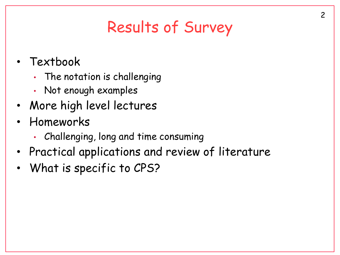# Results of Survey

- Textbook
	- The notation is challenging
	- Not enough examples
- More high level lectures
- Homeworks
	- Challenging, long and time consuming
- Practical applications and review of literature
- What is specific to CPS?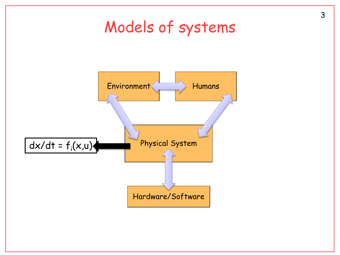

3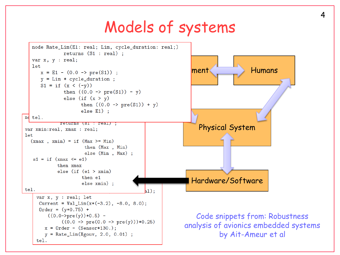#### Models of systems

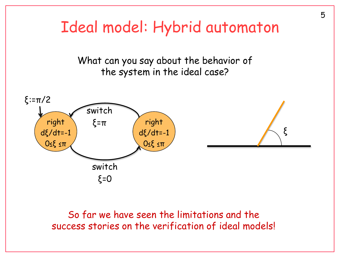

So far we have seen the limitations and the success stories on the verification of ideal models!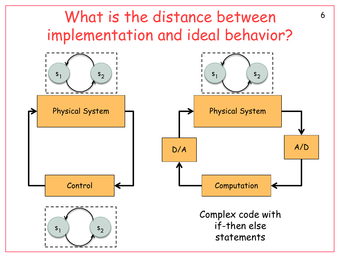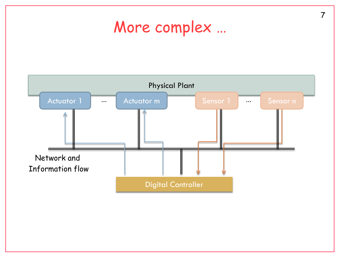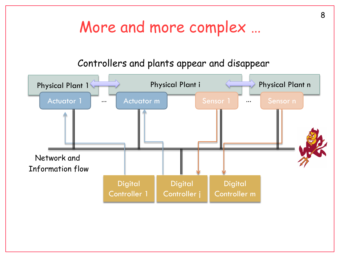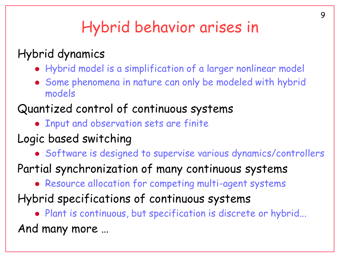## Hybrid behavior arises in

#### Hybrid dynamics

- Hybrid model is a simplification of a larger nonlinear model
- Some phenomena in nature can only be modeled with hybrid models

#### Quantized control of continuous systems

- Input and observation sets are finite
- Logic based switching
	- Software is designed to supervise various dynamics/controllers
- Partial synchronization of many continuous systems
	- Resource allocation for competing multi-agent systems
- Hybrid specifications of continuous systems
	- Plant is continuous, but specification is discrete or hybrid...

And many more …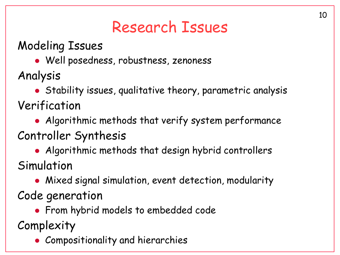### Research Issues

Modeling Issues

Well posedness, robustness, zenoness

Analysis

 Stability issues, qualitative theory, parametric analysis Verification

• Algorithmic methods that verify system performance

Controller Synthesis

 Algorithmic methods that design hybrid controllers Simulation

Mixed signal simulation, event detection, modularity

Code generation

**• From hybrid models to embedded code** 

Complexity

Compositionality and hierarchies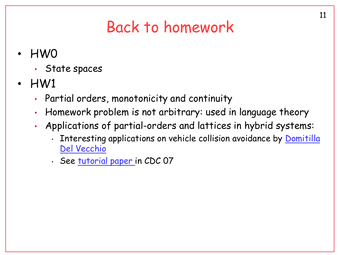### Back to homework

- HW0
	- State spaces
- HW1
	- Partial orders, monotonicity and continuity
	- Homework problem is not arbitrary: used in language theory
	- Applications of partial-orders and lattices in hybrid systems:
		- Interesting applications on vehicle collision avoidance by [Domitilla](http://www.eecs.umich.edu/~ddv/)  [Del Vecchio](http://www.eecs.umich.edu/~ddv/)
		- See [tutorial paper](http://www.public.asu.edu/~gfaineko/pub/cdc07.pdf) in CDC 07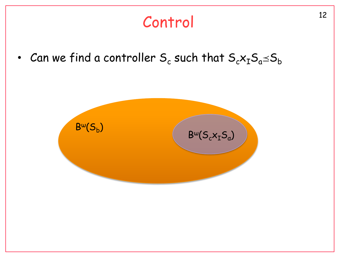# <sup>12</sup> Control

• Can we find a controller  $\mathsf{S}_{\mathsf{c}}$  such that  $\mathsf{S}_{\mathsf{c}}\mathsf{x}_{\mathtt{I}}\mathsf{S}_{\mathsf{a}}\!\!\preceq\!\!\mathsf{S}_{\mathsf{b}}$ 

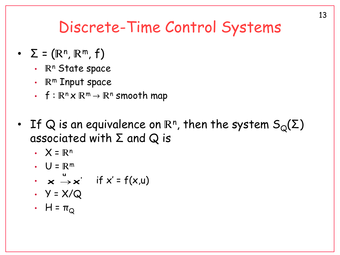#### Discrete-Time Control Systems

- $\Sigma = (\mathbb{R}^n, \mathbb{R}^m, f)$ 
	- $\mathbb{R}^n$  State space
	- $\mathbb{R}^m$  Input space
	- $f: \mathbb{R}^n \times \mathbb{R}^m \to \mathbb{R}^n$  smooth map
- If Q is an equivalence on  $\mathbb{R}^n$ , then the system  $\mathsf{S}_{\mathsf{Q}}(\mathsf{\Sigma})$ associated with  $\Sigma$  and  $\Omega$  is
	- $\cdot$   $X = \mathbb{R}^n$
	- $\cdot$   $U = \mathbb{R}^m$
	- $\mathbf{x} \rightarrow \mathbf{x}'$  if  $\mathbf{x}' = \mathsf{f}(\mathbf{x},\mathsf{u})$ **u**  $\mathsf{x} \xrightarrow[]{} \mathsf{x}$
	- $\cdot$   $\cdot$   $\cdot$   $\times$  /Q
	- $H = \pi_Q$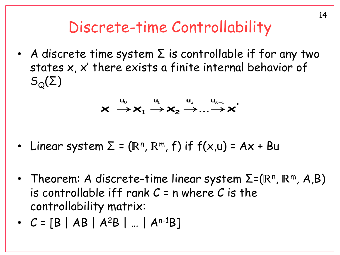#### Discrete-time Controllability

• A discrete time system  $\Sigma$  is controllable if for any two states x, x' there exists a finite internal behavior of  $S_{\Omega}(\Sigma)$ 

$$
\mathbf{x} \stackrel{\mathbf{u}_0}{\longrightarrow} \mathbf{x}_1 \stackrel{\mathbf{u}_1}{\longrightarrow} \mathbf{x}_2 \stackrel{\mathbf{u}_2}{\longrightarrow} \dots \stackrel{\mathbf{u}_{k-1}}{\longrightarrow} \mathbf{x}^{'}
$$

- Linear system  $\Sigma$  = ( $\mathbb{R}^n$ ,  $\mathbb{R}^m$ , f) if  $f(x,u)$  = Ax + Bu
- Theorem: A discrete-time linear system  $\Sigma$ = $(\mathbb{R}^n, \mathbb{R}^m, A, B)$ is controllable iff rank  $C = n$  where C is the controllability matrix:
- $C = [B | AB | A^2B | ... | A^{n-1}B]$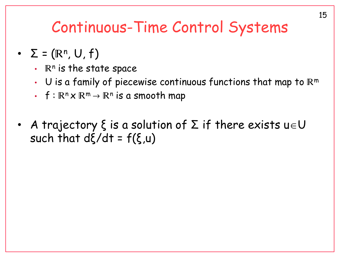#### Continuous-Time Control Systems

- $\Sigma = (\mathbb{R}^n, \cup, f)$ 
	- $\cdot$   $\mathbb{R}^n$  is the state space
	- $\cdot$  U is a family of piecewise continuous functions that map to  $\mathbb{R}^m$
	- $f : \mathbb{R}^n \times \mathbb{R}^m \to \mathbb{R}^n$  is a smooth map
- A trajectory  $\xi$  is a solution of  $\Sigma$  if there exists  $u\in U$ such that  $d\xi/dt = f(\xi, u)$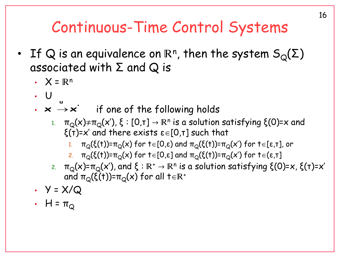## Continuous-Time Control Systems

- If Q is an equivalence on  $\mathbb{R}^n$ , then the system  $\mathsf{S}_{\mathsf{Q}}(\mathsf{\Sigma})$ associated with  $\Sigma$  and  $Q$  is
	- $\cdot$   $X = \mathbb{R}^n$
	- $\bigcup$
	- $\boldsymbol{\cdot}\ \ \boldsymbol{\times}\ \boldsymbol{\rightarrow}\ \boldsymbol{\times}^\cdot\ \ \ \ \ \ \ \text{if one of the following holds}$ **u**  $\mathsf{x} \xrightarrow[]{} \mathsf{x}$ 
		- 1.  $\pi_{\mathrm{Q}}(\mathsf{x}){\neq}\pi_{\mathrm{Q}}(\mathsf{x}'),$  ξ : [0,τ]  $\rightarrow$   $\mathbb{R}^n$  is a solution satisfying ξ(0)= $\mathsf{x}$  and  $\xi(\tau)=x'$  and there exists  $\epsilon\in[0,\tau]$  such that
			- 1.  $\pi_{\mathbb{Q}}(\xi(t))$ = $\pi_{\mathbb{Q}}(x)$  for  $t \in [0,\varepsilon)$  and  $\pi_{\mathbb{Q}}(\xi(t))$ = $\pi_{\mathbb{Q}}(x')$  for  $t \in [\varepsilon,\tau]$ , or
			- 2.  $\pi_{\mathcal{Q}}(\xi(t))$ = $\pi_{\mathcal{Q}}(x)$  for t $\in[0,\varepsilon]$  and  $\pi_{\mathcal{Q}}(\xi(t))$ = $\pi_{\mathcal{Q}}(x')$  for t $\in(\varepsilon,\tau]$
		- 2.  $\pi_{\rm Q}({\sf x})$ = $\pi_{\rm Q}({\sf x}')$ , and ξ : R+ → Rʰ is a solution satisfying ξ(0)= ${\sf x}$ , ξ(τ)= ${\sf x}'$ and  $\pi_{\mathcal{O}}(\xi(t))$ = $\pi_{\mathcal{O}}(x)$  for all t $\in \mathbb{R}^+$
	- $\cdot$   $\cdot$   $\cdot$   $\times$  /Q
	- $H = \pi_Q$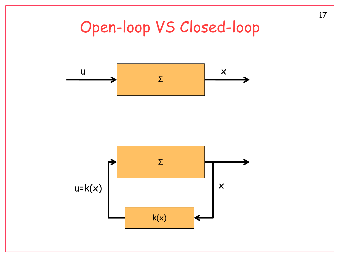## Open-loop VS Closed-loop



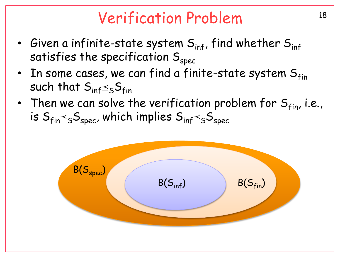#### Verification Problem 18

- Given a infinite-state system  $S_{\text{inf}}$ , find whether  $S_{\text{inf}}$ satisfies the specification  $S_{\text{spec}}$
- In some cases, we can find a finite-state system  $S_{fin}$ such that  $S_{\text{inf}} \leq_S S_{\text{fin}}$
- Then we can solve the verification problem for  $S_{fin}$ , i.e., is  $S_{fin}\leq_{S}S_{spec}$ , which implies  $S_{inf}\leq_{S}S_{spec}$

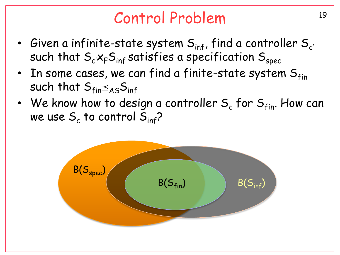### <sup>19</sup> Control Problem

- Given a infinite-state system  $S_{\text{inf}}$ , find a controller  $S_{c'}$ such that  $S_{c} \times_{F} S_{inf}$  satisfies a specification  $S_{spec}$
- In some cases, we can find a finite-state system  $S_{fin}$ such that  $S_{fin}\leq_{AS}S_{inf}$
- We know how to design a controller  $S_c$  for  $S<sub>fin</sub>$ . How can we use  $\mathsf{S}_{\mathsf{c}}$  to control  $\mathsf{S}_{\mathsf{inf}}$ ?

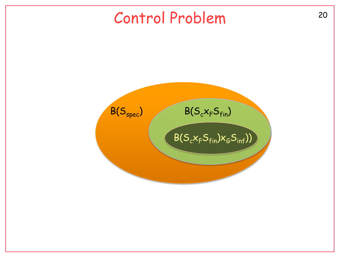#### <sup>20</sup> Control Problem

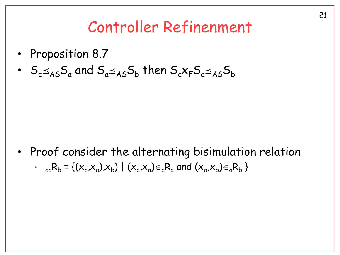#### Controller Refinenment

- Proposition 8.7
- $\,S_c \!\!\leq_{\mathsf{AS}}\!\! S_{\mathsf{a}}\,$  and  $\, \mathsf{S}_{\mathsf{a}} \!\!\leq_{\mathsf{AS}}\!\! S_{\mathsf{b}}\,$  then  $\, \mathsf{S}_c \!\!\times_{\mathsf{F}}\!\! S_{\mathsf{a}} \!\!\leq_{\mathsf{AS}}\!\! S_{\mathsf{b}}\,$

• Proof consider the alternating bisimulation relation •  $_{ca}R_b = \{(x_c, x_a), x_b\} \mid (x_c, x_a) \in {}_c R_a$  and  $(x_a, x_b) \in {}_a R_b$  }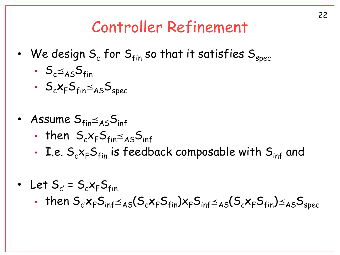#### Controller Refinement

- We design  $S_c$  for  $S<sub>fin</sub>$  so that it satisfies  $S<sub>spec</sub>$ 
	- $S_{c} \leq_{AS} S_{fin}$
	- $S_c x_F S_{fin} \leq_{AS} S_{spec}$
- Assume  $S_{fin}\leq_{AS}S_{inf}$ 
	- then  $S_{c}x_{F}S_{fin}\leq_{AS}S_{inf}$
	- I.e.  $S_cx_FS_{fin}$  is feedback composable with  $S_{inf}$  and
- Let  $S_{c'} = S_c x_F S_{fin}$ 
	- then  $S_c$  $x_F S_{inf} \leq_{AS} (S_c x_F S_{fin}) x_F S_{inf} \leq_{AS} (S_c x_F S_{fin}) \leq_{AS} S_{spec}$